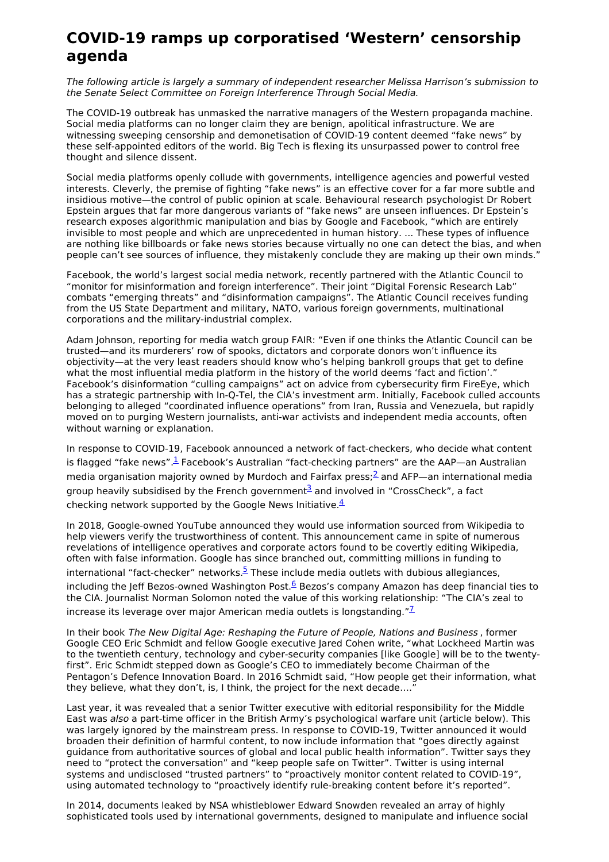## **COVID-19 ramps up corporatised 'Western' censorship agenda**

The following article is largely a summary of independent researcher Melissa Harrison's submission to the Senate Select Committee on Foreign Interference Through Social Media.

The COVID-19 outbreak has unmasked the narrative managers of the Western propaganda machine. Social media platforms can no longer claim they are benign, apolitical infrastructure. We are witnessing sweeping censorship and demonetisation of COVID-19 content deemed "fake news" by these self-appointed editors of the world. Big Tech is flexing its unsurpassed power to control free thought and silence dissent.

Social media platforms openly collude with governments, intelligence agencies and powerful vested interests. Cleverly, the premise of fighting "fake news" is an effective cover for a far more subtle and insidious motive—the control of public opinion at scale. Behavioural research psychologist Dr Robert Epstein argues that far more dangerous variants of "fake news" are unseen influences. Dr Epstein's research exposes algorithmic manipulation and bias by Google and Facebook, "which are entirely invisible to most people and which are unprecedented in human history. ... These types of influence are nothing like billboards or fake news stories because virtually no one can detect the bias, and when people can't see sources of influence, they mistakenly conclude they are making up their own minds."

Facebook, the world's largest social media network, recently partnered with the Atlantic Council to "monitor for misinformation and foreign interference". Their joint "Digital Forensic Research Lab" combats "emerging threats" and "disinformation campaigns". The Atlantic Council receives funding from the US State Department and military, NATO, various foreign governments, multinational corporations and the military-industrial complex.

Adam Johnson, reporting for media watch group FAIR: "Even if one thinks the Atlantic Council can be trusted—and its murderers' row of spooks, dictators and corporate donors won't influence its objectivity—at the very least readers should know who's helping bankroll groups that get to define what the most influential media platform in the history of the world deems 'fact and fiction'.' Facebook's disinformation "culling campaigns" act on advice from cybersecurity firm FireEye, which has a strategic partnership with In-Q-Tel, the CIA's investment arm. Initially, Facebook culled accounts belonging to alleged "coordinated influence operations" from Iran, Russia and Venezuela, but rapidly moved on to purging Western journalists, anti-war activists and independent media accounts, often without warning or explanation.

In response to COVID-19, Facebook announced a network of fact-checkers, who decide what content is flagged "fake news". $\frac{1}{2}$  $\frac{1}{2}$  $\frac{1}{2}$  Facebook's Australian "fact-checking partners" are the AAP—an Australian media organisation majority owned by Murdoch and Fairfax press; $\frac{2}{5}$  $\frac{2}{5}$  $\frac{2}{5}$  and AFP—an international media group heavily subsidised by the French government $\frac{3}{2}$  $\frac{3}{2}$  $\frac{3}{2}$  and involved in "CrossCheck", a fact checking network supported by the Google News Initiative. $\frac{4}{3}$  $\frac{4}{3}$  $\frac{4}{3}$ 

In 2018, Google-owned YouTube announced they would use information sourced from Wikipedia to help viewers verify the trustworthiness of content. This announcement came in spite of numerous revelations of intelligence operatives and corporate actors found to be covertly editing Wikipedia, often with false information. Google has since branched out, committing millions in funding to international "fact-checker" networks. $5$  These include media outlets with dubious allegiances, including the Jeff Bezos-owned Washington Post. $6$  Bezos's company Amazon has deep financial ties to the CIA. Journalist Norman Solomon noted the value of this working relationship: "The CIA's zeal to increase its leverage over major American media outlets is longstanding." $^{\mathbb{Z}}$ 

In their book The New Digital Age: Reshaping the Future of People, Nations and Business , former Google CEO Eric Schmidt and fellow Google executive Jared Cohen write, "what Lockheed Martin was to the twentieth century, technology and cyber-security companies [like Google] will be to the twentyfirst". Eric Schmidt stepped down as Google's CEO to immediately become Chairman of the Pentagon's Defence Innovation Board. In 2016 Schmidt said, "How people get their information, what they believe, what they don't, is, I think, the project for the next decade....

Last year, it was revealed that a senior Twitter executive with editorial responsibility for the Middle East was also a part-time officer in the British Army's psychological warfare unit (article below). This was largely ignored by the mainstream press. In response to COVID-19, Twitter announced it would broaden their definition of harmful content, to now include information that "goes directly against guidance from authoritative sources of global and local public health information". Twitter says they need to "protect the conversation" and "keep people safe on Twitter". Twitter is using internal systems and undisclosed "trusted partners" to "proactively monitor content related to COVID-19", using automated technology to "proactively identify rule-breaking content before it's reported".

In 2014, documents leaked by NSA whistleblower Edward Snowden revealed an array of highly sophisticated tools used by international governments, designed to manipulate and influence social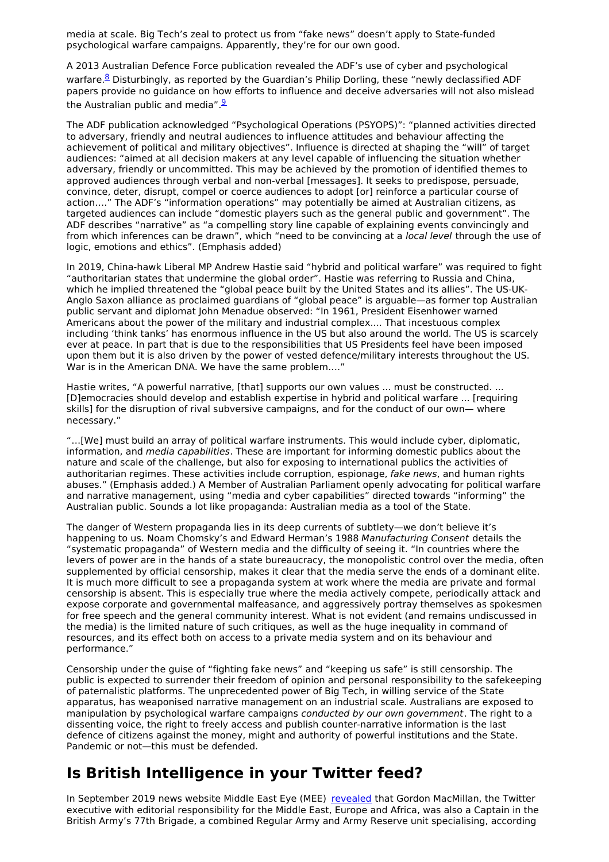media at scale. Big Tech's zeal to protect us from "fake news" doesn't apply to State-funded psychological warfare campaigns. Apparently, they're for our own good.

A 2013 Australian Defence Force publication revealed the ADF's use of cyber and psychological warfare.<sup>[8](https://www.defence.gov.au/FOI/Docs/Disclosures/330_1314_Document.pdf)</sup> Disturbingly, as reported by the Guardian's Philip Dorling, these "newly declassified ADF papers provide no guidance on how efforts to influence and deceive adversaries will not also mislead the Australian public and media" $\frac{9}{2}$  $\frac{9}{2}$  $\frac{9}{2}$ 

The ADF publication acknowledged "Psychological Operations (PSYOPS)": "planned activities directed to adversary, friendly and neutral audiences to influence attitudes and behaviour affecting the achievement of political and military objectives". Influence is directed at shaping the "will" of target audiences: "aimed at all decision makers at any level capable of influencing the situation whether adversary, friendly or uncommitted. This may be achieved by the promotion of identified themes to approved audiences through verbal and non-verbal [messages]. It seeks to predispose, persuade, convince, deter, disrupt, compel or coerce audiences to adopt [or] reinforce a particular course of action…." The ADF's "information operations" may potentially be aimed at Australian citizens, as targeted audiences can include "domestic players such as the general public and government". The ADF describes "narrative" as "a compelling story line capable of explaining events convincingly and from which inferences can be drawn", which "need to be convincing at a local level through the use of logic, emotions and ethics". (Emphasis added)

In 2019, China-hawk Liberal MP Andrew Hastie said "hybrid and political warfare" was required to fight "authoritarian states that undermine the global order". Hastie was referring to Russia and China, which he implied threatened the "global peace built by the United States and its allies". The US-UK-Anglo Saxon alliance as proclaimed guardians of "global peace" is arguable—as former top Australian public servant and diplomat John Menadue observed: "In 1961, President Eisenhower warned Americans about the power of the military and industrial complex.... That incestuous complex including 'think tanks' has enormous influence in the US but also around the world. The US is scarcely ever at peace. In part that is due to the responsibilities that US Presidents feel have been imposed upon them but it is also driven by the power of vested defence/military interests throughout the US. War is in the American DNA. We have the same problem....'

Hastie writes, "A powerful narrative, [that] supports our own values ... must be constructed. ... [D]emocracies should develop and establish expertise in hybrid and political warfare ... [requiring skills] for the disruption of rival subversive campaigns, and for the conduct of our own— where necessary."

"…[We] must build an array of political warfare instruments. This would include cyber, diplomatic, information, and media capabilities. These are important for informing domestic publics about the nature and scale of the challenge, but also for exposing to international publics the activities of authoritarian regimes. These activities include corruption, espionage, fake news, and human rights abuses." (Emphasis added.) A Member of Australian Parliament openly advocating for political warfare and narrative management, using "media and cyber capabilities" directed towards "informing" the Australian public. Sounds a lot like propaganda: Australian media as a tool of the State.

The danger of Western propaganda lies in its deep currents of subtlety—we don't believe it's happening to us. Noam Chomsky's and Edward Herman's 1988 Manufacturing Consent details the "systematic propaganda" of Western media and the difficulty of seeing it. "In countries where the levers of power are in the hands of a state bureaucracy, the monopolistic control over the media, often supplemented by official censorship, makes it clear that the media serve the ends of a dominant elite. It is much more difficult to see a propaganda system at work where the media are private and formal censorship is absent. This is especially true where the media actively compete, periodically attack and expose corporate and governmental malfeasance, and aggressively portray themselves as spokesmen for free speech and the general community interest. What is not evident (and remains undiscussed in the media) is the limited nature of such critiques, as well as the huge inequality in command of resources, and its effect both on access to a private media system and on its behaviour and performance."

Censorship under the guise of "fighting fake news" and "keeping us safe" is still censorship. The public is expected to surrender their freedom of opinion and personal responsibility to the safekeeping of paternalistic platforms. The unprecedented power of Big Tech, in willing service of the State apparatus, has weaponised narrative management on an industrial scale. Australians are exposed to manipulation by psychological warfare campaigns conducted by our own government. The right to a dissenting voice, the right to freely access and publish counter-narrative information is the last defence of citizens against the money, might and authority of powerful institutions and the State. Pandemic or not—this must be defended.

## **Is British Intelligence in your Twitter feed?**

In September 2019 news website Middle East Eye (MEE) [revealed](https://www.middleeasteye.net/news/twitter-executive-also-part-time-officer-uk-army-psychological-warfare-unit) that Gordon MacMillan, the Twitter executive with editorial responsibility for the Middle East, Europe and Africa, was also a Captain in the British Army's 77th Brigade, a combined Regular Army and Army Reserve unit specialising, according